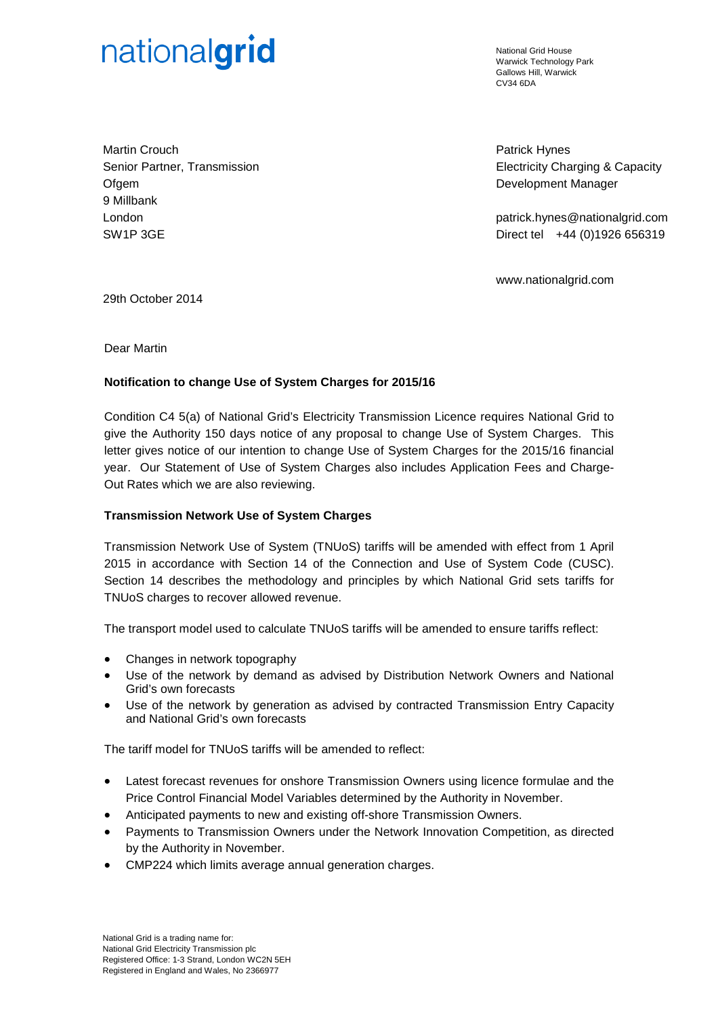# nationalgrid

National Grid House Warwick Technology Park Gallows Hill, Warwick  $C<sub>1</sub>1/34$  6DA

Martin Crouch Senior Partner, Transmission **Ofgem** 9 Millbank London SW1P 3GE

Patrick Hynes Electricity Charging & Capacity Development Manager

patrick.hynes@nationalgrid.com Direct tel +44 (0)1926 656319

www.nationalgrid.com

29th October 2014

Dear Martin

## **Notification to change Use of System Charges for 2015/16**

Condition C4 5(a) of National Grid's Electricity Transmission Licence requires National Grid to give the Authority 150 days notice of any proposal to change Use of System Charges. This letter gives notice of our intention to change Use of System Charges for the 2015/16 financial year. Our Statement of Use of System Charges also includes Application Fees and Charge-Out Rates which we are also reviewing.

## **Transmission Network Use of System Charges**

Transmission Network Use of System (TNUoS) tariffs will be amended with effect from 1 April 2015 in accordance with Section 14 of the Connection and Use of System Code (CUSC). Section 14 describes the methodology and principles by which National Grid sets tariffs for TNUoS charges to recover allowed revenue.

The transport model used to calculate TNUoS tariffs will be amended to ensure tariffs reflect:

- Changes in network topography
- Use of the network by demand as advised by Distribution Network Owners and National Grid's own forecasts
- Use of the network by generation as advised by contracted Transmission Entry Capacity and National Grid's own forecasts

The tariff model for TNUoS tariffs will be amended to reflect:

- Latest forecast revenues for onshore Transmission Owners using licence formulae and the Price Control Financial Model Variables determined by the Authority in November.
- Anticipated payments to new and existing off-shore Transmission Owners.
- Payments to Transmission Owners under the Network Innovation Competition, as directed by the Authority in November.
- CMP224 which limits average annual generation charges.